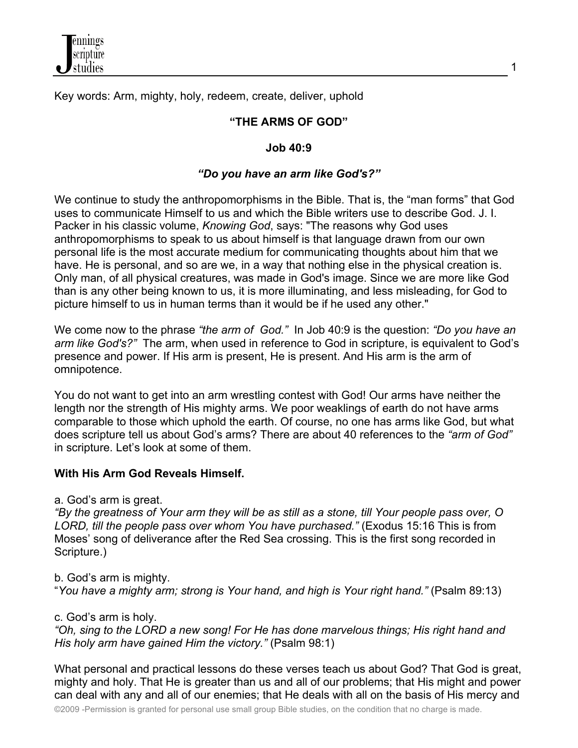

Key words: Arm, mighty, holy, redeem, create, deliver, uphold

### **"THE ARMS OF GOD"**

#### **Job 40:9**

### *"Do you have an arm like God's?"*

We continue to study the anthropomorphisms in the Bible. That is, the "man forms" that God uses to communicate Himself to us and which the Bible writers use to describe God. J. I. Packer in his classic volume, *Knowing God*, says: "The reasons why God uses anthropomorphisms to speak to us about himself is that language drawn from our own personal life is the most accurate medium for communicating thoughts about him that we have. He is personal, and so are we, in a way that nothing else in the physical creation is. Only man, of all physical creatures, was made in God's image. Since we are more like God than is any other being known to us, it is more illuminating, and less misleading, for God to picture himself to us in human terms than it would be if he used any other."

We come now to the phrase *"the arm of God."* In Job 40:9 is the question: *"Do you have an arm like God's?"* The arm, when used in reference to God in scripture, is equivalent to God's presence and power. If His arm is present, He is present. And His arm is the arm of omnipotence.

You do not want to get into an arm wrestling contest with God! Our arms have neither the length nor the strength of His mighty arms. We poor weaklings of earth do not have arms comparable to those which uphold the earth. Of course, no one has arms like God, but what does scripture tell us about God's arms? There are about 40 references to the *"arm of God"* in scripture. Let's look at some of them.

#### **With His Arm God Reveals Himself.**

a. God's arm is great.

*"By the greatness of Your arm they will be as still as a stone, till Your people pass over, O LORD, till the people pass over whom You have purchased."* (Exodus 15:16 This is from Moses' song of deliverance after the Red Sea crossing. This is the first song recorded in Scripture.)

b. God's arm is mighty.

"*You have a mighty arm; strong is Your hand, and high is Your right hand."* (Psalm 89:13)

c. God's arm is holy.

*"Oh, sing to the LORD a new song! For He has done marvelous things; His right hand and His holy arm have gained Him the victory."* (Psalm 98:1)

What personal and practical lessons do these verses teach us about God? That God is great, mighty and holy. That He is greater than us and all of our problems; that His might and power can deal with any and all of our enemies; that He deals with all on the basis of His mercy and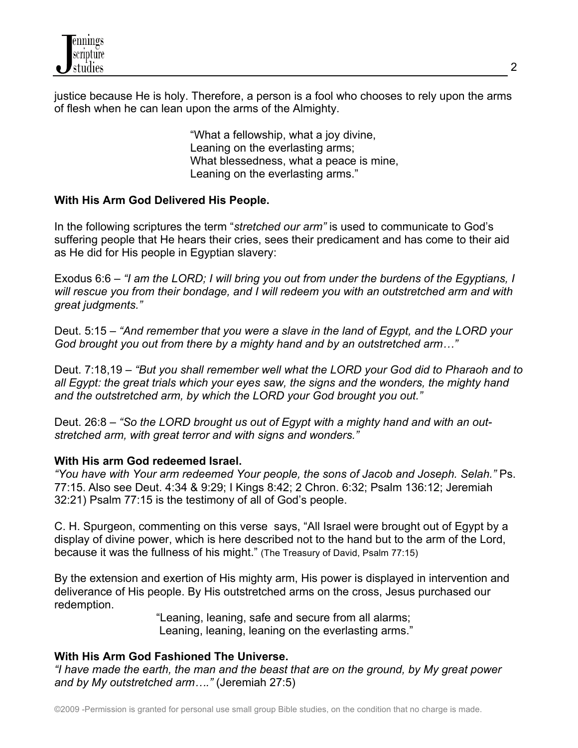

justice because He is holy. Therefore, a person is a fool who chooses to rely upon the arms of flesh when he can lean upon the arms of the Almighty.

> "What a fellowship, what a joy divine, Leaning on the everlasting arms; What blessedness, what a peace is mine, Leaning on the everlasting arms."

#### **With His Arm God Delivered His People.**

In the following scriptures the term "*stretched our arm"* is used to communicate to God's suffering people that He hears their cries, sees their predicament and has come to their aid as He did for His people in Egyptian slavery:

Exodus 6:6 – *"I am the LORD; I will bring you out from under the burdens of the Egyptians, I will rescue you from their bondage, and I will redeem you with an outstretched arm and with great judgments."*

Deut. 5:15 – *"And remember that you were a slave in the land of Egypt, and the LORD your God brought you out from there by a mighty hand and by an outstretched arm…"*

Deut. 7:18,19 – *"But you shall remember well what the LORD your God did to Pharaoh and to all Egypt: the great trials which your eyes saw, the signs and the wonders, the mighty hand and the outstretched arm, by which the LORD your God brought you out."*

Deut. 26:8 – *"So the LORD brought us out of Egypt with a mighty hand and with an outstretched arm, with great terror and with signs and wonders."*

#### **With His arm God redeemed Israel.**

*"You have with Your arm redeemed Your people, the sons of Jacob and Joseph. Selah."* Ps. 77:15. Also see Deut. 4:34 & 9:29; I Kings 8:42; 2 Chron. 6:32; Psalm 136:12; Jeremiah 32:21) Psalm 77:15 is the testimony of all of God's people.

C. H. Spurgeon, commenting on this verse says, "All Israel were brought out of Egypt by a display of divine power, which is here described not to the hand but to the arm of the Lord, because it was the fullness of his might." (The Treasury of David, Psalm 77:15)

By the extension and exertion of His mighty arm, His power is displayed in intervention and deliverance of His people. By His outstretched arms on the cross, Jesus purchased our redemption.

"Leaning, leaning, safe and secure from all alarms; Leaning, leaning, leaning on the everlasting arms."

# **With His Arm God Fashioned The Universe.**

*"I have made the earth, the man and the beast that are on the ground, by My great power and by My outstretched arm…."* (Jeremiah 27:5)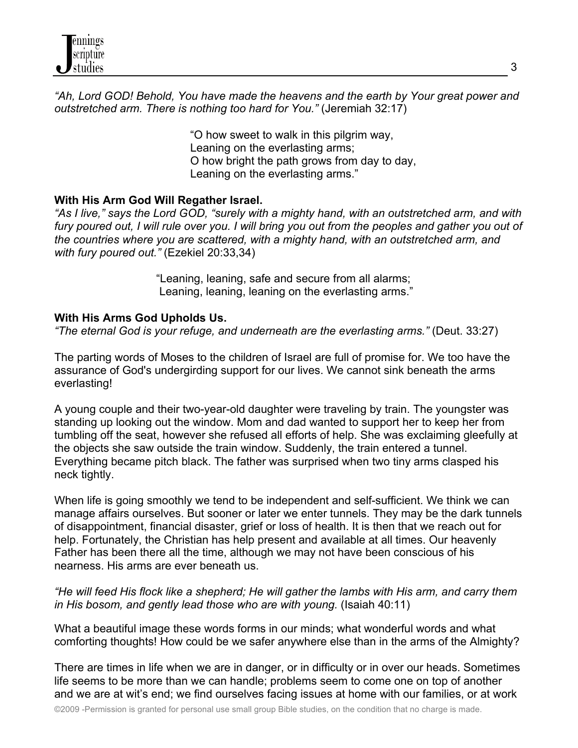*"Ah, Lord GOD! Behold, You have made the heavens and the earth by Your great power and outstretched arm. There is nothing too hard for You."* (Jeremiah 32:17)

> "O how sweet to walk in this pilgrim way, Leaning on the everlasting arms; O how bright the path grows from day to day, Leaning on the everlasting arms."

## **With His Arm God Will Regather Israel.**

*"As I live," says the Lord GOD, "surely with a mighty hand, with an outstretched arm, and with*  fury poured out, I will rule over you. I will bring you out from the peoples and gather you out of *the countries where you are scattered, with a mighty hand, with an outstretched arm, and with fury poured out."* (Ezekiel 20:33,34)

> "Leaning, leaning, safe and secure from all alarms; Leaning, leaning, leaning on the everlasting arms."

## **With His Arms God Upholds Us.**

*"The eternal God is your refuge, and underneath are the everlasting arms."* (Deut. 33:27)

The parting words of Moses to the children of Israel are full of promise for. We too have the assurance of God's undergirding support for our lives. We cannot sink beneath the arms everlasting!

A young couple and their two-year-old daughter were traveling by train. The youngster was standing up looking out the window. Mom and dad wanted to support her to keep her from tumbling off the seat, however she refused all efforts of help. She was exclaiming gleefully at the objects she saw outside the train window. Suddenly, the train entered a tunnel. Everything became pitch black. The father was surprised when two tiny arms clasped his neck tightly.

When life is going smoothly we tend to be independent and self-sufficient. We think we can manage affairs ourselves. But sooner or later we enter tunnels. They may be the dark tunnels of disappointment, financial disaster, grief or loss of health. It is then that we reach out for help. Fortunately, the Christian has help present and available at all times. Our heavenly Father has been there all the time, although we may not have been conscious of his nearness. His arms are ever beneath us.

*"He will feed His flock like a shepherd; He will gather the lambs with His arm, and carry them in His bosom, and gently lead those who are with young.* (Isaiah 40:11)

What a beautiful image these words forms in our minds; what wonderful words and what comforting thoughts! How could be we safer anywhere else than in the arms of the Almighty?

There are times in life when we are in danger, or in difficulty or in over our heads. Sometimes life seems to be more than we can handle; problems seem to come one on top of another and we are at wit's end; we find ourselves facing issues at home with our families, or at work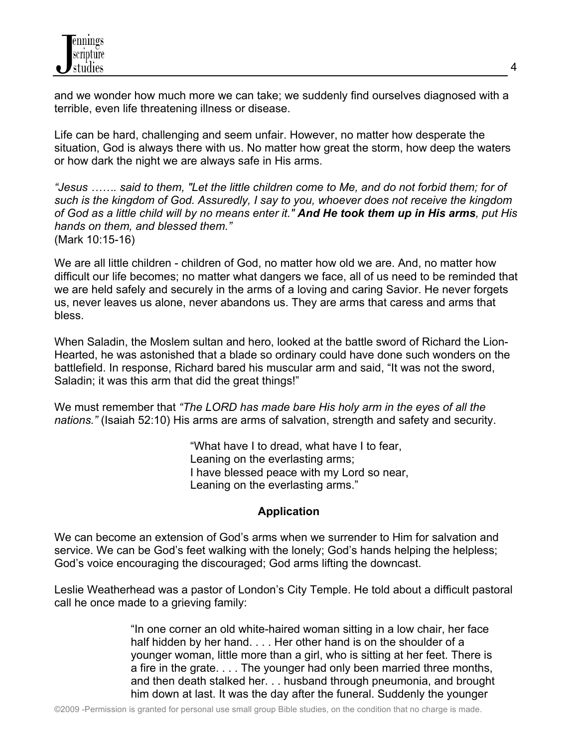and we wonder how much more we can take; we suddenly find ourselves diagnosed with a terrible, even life threatening illness or disease.

Life can be hard, challenging and seem unfair. However, no matter how desperate the situation, God is always there with us. No matter how great the storm, how deep the waters or how dark the night we are always safe in His arms.

*"Jesus ……. said to them, "Let the little children come to Me, and do not forbid them; for of such is the kingdom of God. Assuredly, I say to you, whoever does not receive the kingdom of God as a little child will by no means enter it." And He took them up in His arms, put His hands on them, and blessed them."* (Mark 10:15-16)

We are all little children - children of God, no matter how old we are. And, no matter how difficult our life becomes; no matter what dangers we face, all of us need to be reminded that we are held safely and securely in the arms of a loving and caring Savior. He never forgets us, never leaves us alone, never abandons us. They are arms that caress and arms that bless.

When Saladin, the Moslem sultan and hero, looked at the battle sword of Richard the Lion-Hearted, he was astonished that a blade so ordinary could have done such wonders on the battlefield. In response, Richard bared his muscular arm and said, "It was not the sword, Saladin; it was this arm that did the great things!"

We must remember that *"The LORD has made bare His holy arm in the eyes of all the nations."* (Isaiah 52:10) His arms are arms of salvation, strength and safety and security.

> "What have I to dread, what have I to fear, Leaning on the everlasting arms; I have blessed peace with my Lord so near, Leaning on the everlasting arms."

# **Application**

We can become an extension of God's arms when we surrender to Him for salvation and service. We can be God's feet walking with the lonely; God's hands helping the helpless; God's voice encouraging the discouraged; God arms lifting the downcast.

Leslie Weatherhead was a pastor of London's City Temple. He told about a difficult pastoral call he once made to a grieving family:

> "In one corner an old white-haired woman sitting in a low chair, her face half hidden by her hand. . . . Her other hand is on the shoulder of a younger woman, little more than a girl, who is sitting at her feet. There is a fire in the grate. . . . The younger had only been married three months, and then death stalked her. . . husband through pneumonia, and brought him down at last. It was the day after the funeral. Suddenly the younger